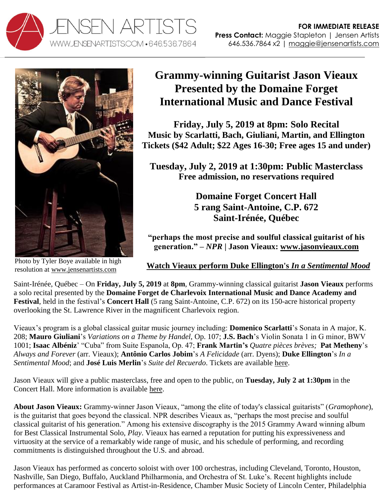



Photo by Tyler Boye available in high resolution at [www.jensenartists.com](http://www.jensenartists.com/)

## **Grammy-winning Guitarist Jason Vieaux Presented by the Domaine Forget International Music and Dance Festival**

**Friday, July 5, 2019 at 8pm: Solo Recital Music by Scarlatti, Bach, Giuliani, Martin, and Ellington Tickets (\$42 Adult; \$22 Ages 16-30; Free ages 15 and under)** 

**Tuesday, July 2, 2019 at 1:30pm: Public Masterclass Free admission, no reservations required**

> **Domaine Forget Concert Hall 5 rang Saint-Antoine, C.P. 672 Saint-Irénée, Québec**

**"perhaps the most precise and soulful classical guitarist of his generation." –** *NPR* **| Jason Vieaux: [www.jasonvieaux.com](http://www.jasonvieaux.com/)**

## **[Watch Vieaux perform Duke Ellington's](http://www.youtube.com/watch?v=6Mod9vYk4IE)** *In a Sentimental Mood*

Saint-Irénée, Québec – On **Friday, July 5, 2019** at **8pm**, Grammy-winning classical guitarist **Jason Vieaux** performs a solo recital presented by the **Domaine Forget de Charlevoix International Music and Dance Academy and Festival**, held in the festival's **Concert Hall** (5 rang Saint-Antoine, C.P. 672) on its 150-acre historical property overlooking the St. Lawrence River in the magnificent Charlevoix region.

Vieaux's program is a global classical guitar music journey including: **Domenico Scarlatti**'s Sonata in A major, K. 208; **Mauro Giuliani**'s *Variations on a Theme by Handel*, Op. 107; **J.S. Bach**'s Violin Sonata 1 in G minor, BWV 1001; **Isaac Albéniz**' "Cuba" from Suite Espanola, Op. 47; **Frank Martin's** *Quatre pièces brèves;* **Pat Metheny**'s *Always and Forever* (arr. Vieaux); **Antônio Carlos Jobim**'s *A Felicidade* (arr. Dyens); **Duke Ellington**'s *In a Sentimental Mood*; and **José Luis Merlin**'s *Suite del Recuerdo*. Tickets are available [here.](https://www.domaineforget.com/en/calendar-events/international-festival/jason-vieaux-guitar/)

Jason Vieaux will give a public masterclass, free and open to the public, on **Tuesday, July 2 at 1:30pm** in the Concert Hall. More information is available [here.](https://www.domaineforget.com/en/calendar-events/international-festival/public-masterclasses-jason-vieaux/)

**About Jason Vieaux:** Grammy-winner Jason Vieaux, "among the elite of today's classical guitarists" (*Gramophone*), is the guitarist that goes beyond the classical. NPR describes Vieaux as, "perhaps the most precise and soulful classical guitarist of his generation." Among his extensive discography is the 2015 Grammy Award winning album for Best Classical Instrumental Solo, *Play*. Vieaux has earned a reputation for putting his expressiveness and virtuosity at the service of a remarkably wide range of music, and his schedule of performing, and recording commitments is distinguished throughout the U.S. and abroad.

Jason Vieaux has performed as concerto soloist with over 100 orchestras, including Cleveland, Toronto, Houston, Nashville, San Diego, Buffalo, Auckland Philharmonia, and Orchestra of St. Luke's. Recent highlights include performances at Caramoor Festival as Artist-in-Residence, Chamber Music Society of Lincoln Center, Philadelphia